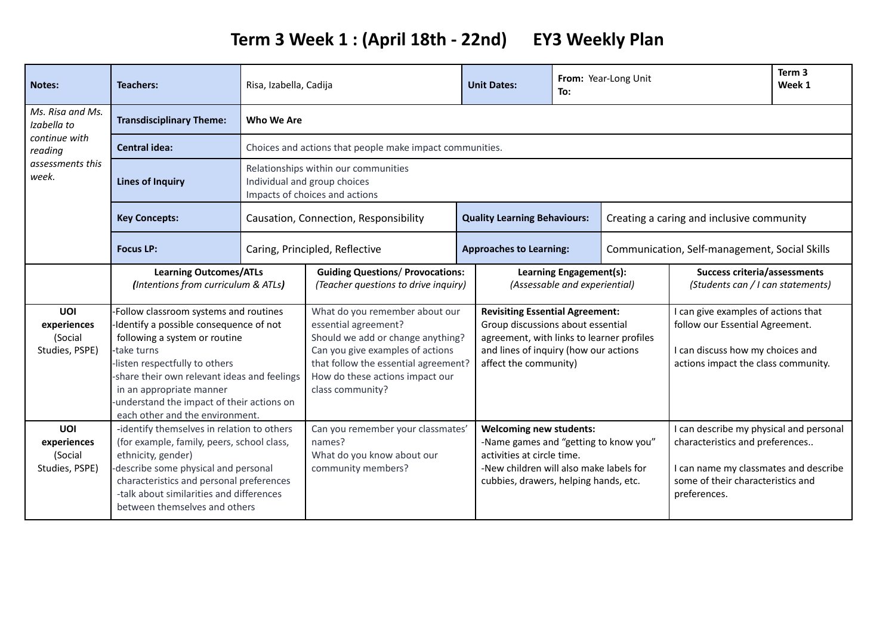## **Term 3 Week 1 : (April 18th - 22nd) EY3 Weekly Plan**

| <b>Notes:</b>                                                                            | <b>Teachers:</b>                                                                                                                                                                                                                                                                                                                | Risa, Izabella, Cadija                                                                                 |                                                                                                                                                                                                                                | <b>Unit Dates:</b>                                                                                                                                                                         |                                                                                                                                                                                           | To:                                                      | From: Year-Long Unit                                                                                                                                                     |                                                                          | Term <sub>3</sub><br>Week 1 |
|------------------------------------------------------------------------------------------|---------------------------------------------------------------------------------------------------------------------------------------------------------------------------------------------------------------------------------------------------------------------------------------------------------------------------------|--------------------------------------------------------------------------------------------------------|--------------------------------------------------------------------------------------------------------------------------------------------------------------------------------------------------------------------------------|--------------------------------------------------------------------------------------------------------------------------------------------------------------------------------------------|-------------------------------------------------------------------------------------------------------------------------------------------------------------------------------------------|----------------------------------------------------------|--------------------------------------------------------------------------------------------------------------------------------------------------------------------------|--------------------------------------------------------------------------|-----------------------------|
| Ms. Risa and Ms.<br>Izabella to<br>continue with<br>reading<br>assessments this<br>week. | <b>Transdisciplinary Theme:</b>                                                                                                                                                                                                                                                                                                 | <b>Who We Are</b>                                                                                      |                                                                                                                                                                                                                                |                                                                                                                                                                                            |                                                                                                                                                                                           |                                                          |                                                                                                                                                                          |                                                                          |                             |
|                                                                                          | Central idea:                                                                                                                                                                                                                                                                                                                   |                                                                                                        | Choices and actions that people make impact communities.                                                                                                                                                                       |                                                                                                                                                                                            |                                                                                                                                                                                           |                                                          |                                                                                                                                                                          |                                                                          |                             |
|                                                                                          | <b>Lines of Inquiry</b>                                                                                                                                                                                                                                                                                                         | Relationships within our communities<br>Individual and group choices<br>Impacts of choices and actions |                                                                                                                                                                                                                                |                                                                                                                                                                                            |                                                                                                                                                                                           |                                                          |                                                                                                                                                                          |                                                                          |                             |
|                                                                                          | <b>Key Concepts:</b>                                                                                                                                                                                                                                                                                                            | Causation, Connection, Responsibility                                                                  |                                                                                                                                                                                                                                |                                                                                                                                                                                            | <b>Quality Learning Behaviours:</b>                                                                                                                                                       |                                                          | Creating a caring and inclusive community                                                                                                                                |                                                                          |                             |
|                                                                                          | <b>Focus LP:</b>                                                                                                                                                                                                                                                                                                                |                                                                                                        | Caring, Principled, Reflective                                                                                                                                                                                                 |                                                                                                                                                                                            | <b>Approaches to Learning:</b>                                                                                                                                                            |                                                          | Communication, Self-management, Social Skills                                                                                                                            |                                                                          |                             |
|                                                                                          | <b>Learning Outcomes/ATLs</b><br>(Intentions from curriculum & ATLs)                                                                                                                                                                                                                                                            |                                                                                                        | <b>Guiding Questions/ Provocations:</b><br>(Teacher questions to drive inquiry)                                                                                                                                                |                                                                                                                                                                                            |                                                                                                                                                                                           | Learning Engagement(s):<br>(Assessable and experiential) |                                                                                                                                                                          | <b>Success criteria/assessments</b><br>(Students can / I can statements) |                             |
| UOI<br>experiences<br>(Social<br>Studies, PSPE)                                          | -Follow classroom systems and routines<br>Identify a possible consequence of not<br>following a system or routine<br>-take turns<br>-listen respectfully to others<br>-share their own relevant ideas and feelings<br>in an appropriate manner<br>-understand the impact of their actions on<br>each other and the environment. |                                                                                                        | What do you remember about our<br>essential agreement?<br>Should we add or change anything?<br>Can you give examples of actions<br>that follow the essential agreement?<br>How do these actions impact our<br>class community? | <b>Revisiting Essential Agreement:</b><br>Group discussions about essential<br>agreement, with links to learner profiles<br>and lines of inquiry (how our actions<br>affect the community) |                                                                                                                                                                                           |                                                          | I can give examples of actions that<br>follow our Essential Agreement.<br>I can discuss how my choices and<br>actions impact the class community.                        |                                                                          |                             |
| UOI<br>experiences<br>(Social<br>Studies, PSPE)                                          | -identify themselves in relation to others<br>(for example, family, peers, school class,<br>ethnicity, gender)<br>describe some physical and personal<br>characteristics and personal preferences<br>-talk about similarities and differences<br>between themselves and others                                                  |                                                                                                        | Can you remember your classmates'<br>names?<br>What do you know about our<br>community members?                                                                                                                                |                                                                                                                                                                                            | <b>Welcoming new students:</b><br>-Name games and "getting to know you"<br>activities at circle time.<br>-New children will also make labels for<br>cubbies, drawers, helping hands, etc. |                                                          | I can describe my physical and personal<br>characteristics and preferences<br>I can name my classmates and describe<br>some of their characteristics and<br>preferences. |                                                                          |                             |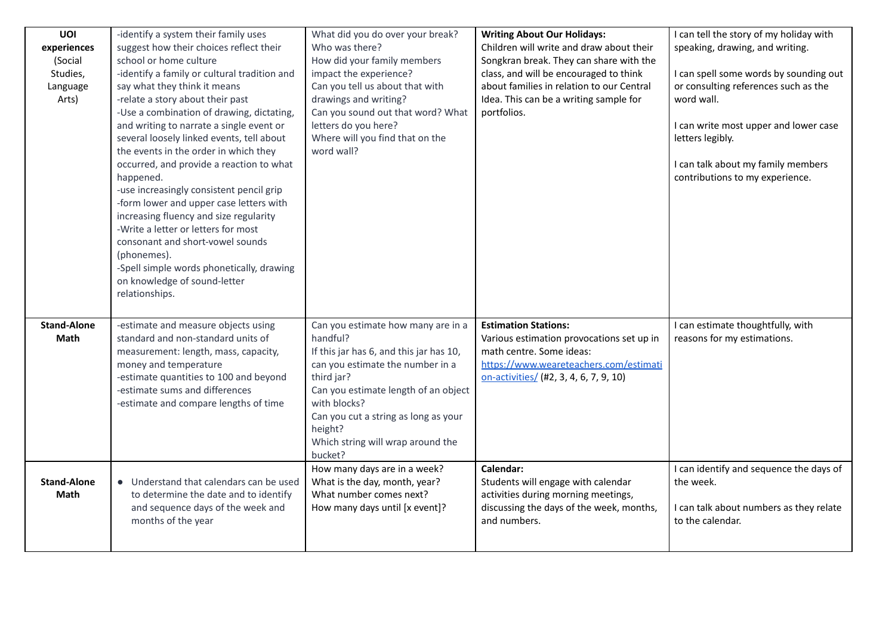| UOI<br>experiences | -identify a system their family uses<br>suggest how their choices reflect their | What did you do over your break?<br>Who was there?            | <b>Writing About Our Holidays:</b><br>Children will write and draw about their | I can tell the story of my holiday with<br>speaking, drawing, and writing. |
|--------------------|---------------------------------------------------------------------------------|---------------------------------------------------------------|--------------------------------------------------------------------------------|----------------------------------------------------------------------------|
| (Social            | school or home culture                                                          | How did your family members                                   | Songkran break. They can share with the                                        |                                                                            |
| Studies,           | -identify a family or cultural tradition and                                    | impact the experience?                                        | class, and will be encouraged to think                                         | I can spell some words by sounding out                                     |
| Language           | say what they think it means                                                    | Can you tell us about that with                               | about families in relation to our Central                                      | or consulting references such as the                                       |
| Arts)              | -relate a story about their past                                                | drawings and writing?                                         | Idea. This can be a writing sample for                                         | word wall.                                                                 |
|                    | -Use a combination of drawing, dictating,                                       | Can you sound out that word? What                             | portfolios.                                                                    |                                                                            |
|                    | and writing to narrate a single event or                                        | letters do you here?                                          |                                                                                | I can write most upper and lower case                                      |
|                    | several loosely linked events, tell about                                       | Where will you find that on the                               |                                                                                | letters legibly.                                                           |
|                    | the events in the order in which they                                           | word wall?                                                    |                                                                                |                                                                            |
|                    | occurred, and provide a reaction to what                                        |                                                               |                                                                                | I can talk about my family members                                         |
|                    | happened.                                                                       |                                                               |                                                                                | contributions to my experience.                                            |
|                    | -use increasingly consistent pencil grip                                        |                                                               |                                                                                |                                                                            |
|                    | -form lower and upper case letters with                                         |                                                               |                                                                                |                                                                            |
|                    | increasing fluency and size regularity<br>-Write a letter or letters for most   |                                                               |                                                                                |                                                                            |
|                    | consonant and short-vowel sounds                                                |                                                               |                                                                                |                                                                            |
|                    | (phonemes).                                                                     |                                                               |                                                                                |                                                                            |
|                    | -Spell simple words phonetically, drawing                                       |                                                               |                                                                                |                                                                            |
|                    | on knowledge of sound-letter                                                    |                                                               |                                                                                |                                                                            |
|                    | relationships.                                                                  |                                                               |                                                                                |                                                                            |
|                    |                                                                                 |                                                               |                                                                                |                                                                            |
| <b>Stand-Alone</b> | -estimate and measure objects using                                             | Can you estimate how many are in a                            | <b>Estimation Stations:</b>                                                    | I can estimate thoughtfully, with                                          |
| Math               | standard and non-standard units of                                              | handful?                                                      | Various estimation provocations set up in                                      | reasons for my estimations.                                                |
|                    | measurement: length, mass, capacity,                                            | If this jar has 6, and this jar has 10,                       | math centre. Some ideas:                                                       |                                                                            |
|                    | money and temperature                                                           | can you estimate the number in a                              | https://www.weareteachers.com/estimati                                         |                                                                            |
|                    | -estimate quantities to 100 and beyond                                          | third jar?                                                    | on-activities/ (#2, 3, 4, 6, 7, 9, 10)                                         |                                                                            |
|                    | -estimate sums and differences                                                  | Can you estimate length of an object                          |                                                                                |                                                                            |
|                    | -estimate and compare lengths of time                                           | with blocks?                                                  |                                                                                |                                                                            |
|                    |                                                                                 | Can you cut a string as long as your                          |                                                                                |                                                                            |
|                    |                                                                                 | height?                                                       |                                                                                |                                                                            |
|                    |                                                                                 | Which string will wrap around the                             |                                                                                |                                                                            |
|                    |                                                                                 | bucket?                                                       | Calendar:                                                                      |                                                                            |
| <b>Stand-Alone</b> | • Understand that calendars can be used                                         | How many days are in a week?<br>What is the day, month, year? | Students will engage with calendar                                             | I can identify and sequence the days of<br>the week.                       |
| Math               | to determine the date and to identify                                           | What number comes next?                                       | activities during morning meetings,                                            |                                                                            |
|                    | and sequence days of the week and                                               | How many days until [x event]?                                | discussing the days of the week, months,                                       | I can talk about numbers as they relate                                    |
|                    |                                                                                 |                                                               |                                                                                |                                                                            |
|                    |                                                                                 |                                                               |                                                                                |                                                                            |
|                    | months of the year                                                              |                                                               | and numbers.                                                                   | to the calendar.                                                           |